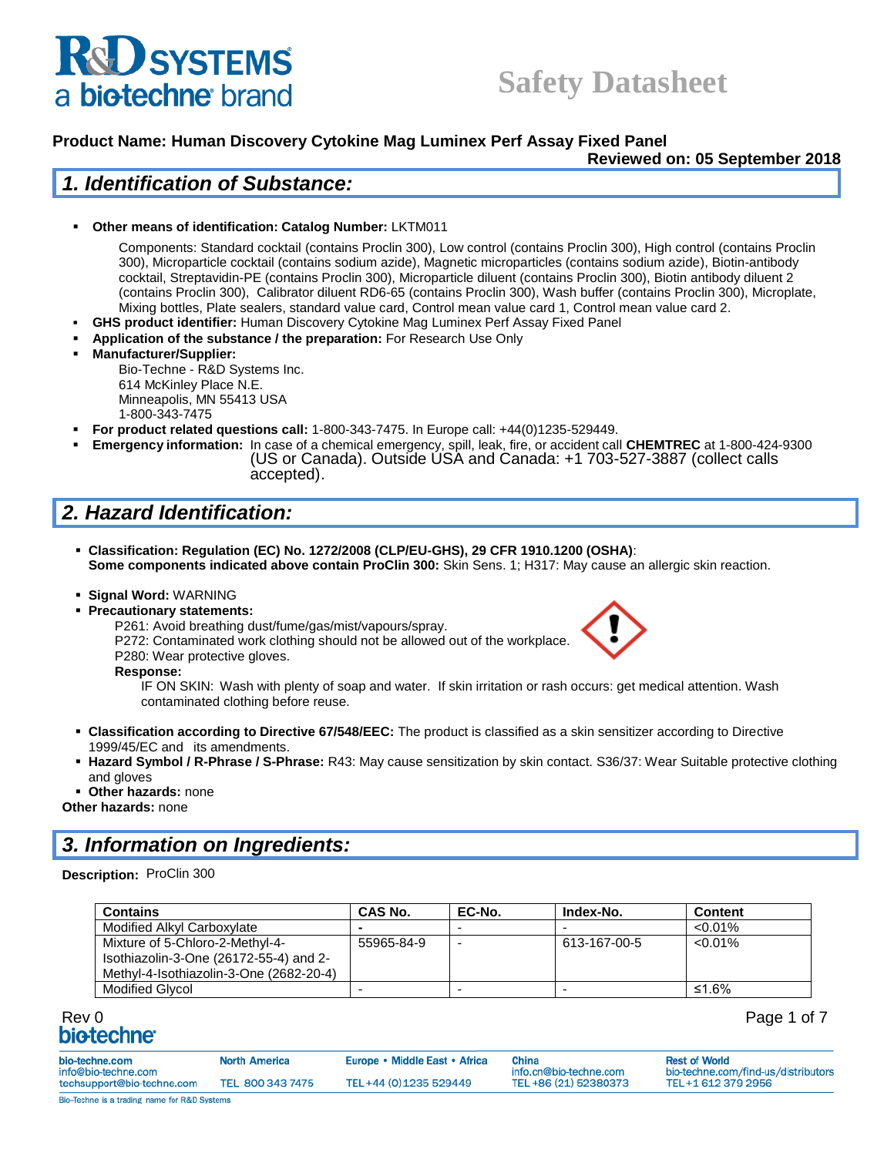# **D** SYSTEMS a biotechne brand

# **Safety Datasheet**

### **Product Name: Human Discovery Cytokine Mag Luminex Perf Assay Fixed Panel**

**Reviewed on: 05 September 2018**

### *1. Identification of Substance:*

#### ▪ **Other means of identification: Catalog Number:** LKTM011

Components: Standard cocktail (contains Proclin 300), Low control (contains Proclin 300), High control (contains Proclin 300), Microparticle cocktail (contains sodium azide), Magnetic microparticles (contains sodium azide), Biotin-antibody cocktail, Streptavidin-PE (contains Proclin 300), Microparticle diluent (contains Proclin 300), Biotin antibody diluent 2 (contains Proclin 300), Calibrator diluent RD6-65 (contains Proclin 300), Wash buffer (contains Proclin 300), Microplate, Mixing bottles, Plate sealers, standard value card, Control mean value card 1, Control mean value card 2.

- **GHS product identifier:** Human Discovery Cytokine Mag Luminex Perf Assay Fixed Panel
- Application of the substance / the preparation: For Research Use Only
- **Manufacturer/Supplier:**

Bio-Techne - R&D Systems Inc. 614 McKinley Place N.E. Minneapolis, MN 55413 USA 1-800-343-7475

- **For product related questions call:** 1-800-343-7475. In Europe call: +44(0)1235-529449.
- **Emergency information:** In case of a chemical emergency, spill, leak, fire, or accident call **CHEMTREC** at 1-800-424-9300 (US or Canada). Outside USA and Canada: +1 703-527-3887 (collect calls accepted).

# *2. Hazard Identification:*

- **Classification: Regulation (EC) No. 1272/2008 (CLP/EU-GHS), 29 CFR 1910.1200 (OSHA)**: **Some components indicated above contain ProClin 300:** Skin Sens. 1; H317: May cause an allergic skin reaction.
- **Signal Word:** WARNING
- **Precautionary statements:**



P261: Avoid breathing dust/fume/gas/mist/vapours/spray. P272: Contaminated work clothing should not be allowed out of the workplace.

P280: Wear protective gloves.

**Response:** 

IF ON SKIN: Wash with plenty of soap and water. If skin irritation or rash occurs: get medical attention. Wash contaminated clothing before reuse.

- **Classification according to Directive 67/548/EEC:** The product is classified as a skin sensitizer according to Directive 1999/45/EC and its amendments.
- **Hazard Symbol / R-Phrase / S-Phrase:** R43: May cause sensitization by skin contact. S36/37: Wear Suitable protective clothing and gloves
- **Other hazards:** none

**Other hazards:** none

## *3. Information on Ingredients:*

#### **Description:** ProClin 300

| <b>Contains</b>                                                                                                      | <b>CAS No.</b> | EC-No.                   | Index-No.    | Content    |
|----------------------------------------------------------------------------------------------------------------------|----------------|--------------------------|--------------|------------|
| Modified Alkyl Carboxylate                                                                                           | $\sim$         |                          |              | $< 0.01\%$ |
| Mixture of 5-Chloro-2-Methyl-4-<br>Isothiazolin-3-One (26172-55-4) and 2-<br>Methyl-4-Isothiazolin-3-One (2682-20-4) | 55965-84-9     | $\overline{\phantom{0}}$ | 613-167-00-5 | $< 0.01\%$ |
| <b>Modified Glycol</b>                                                                                               |                |                          |              | ≤1.6%      |

# Rev 0 Page 1 of 7

| bio-techne.com                                    | <b>North America</b> | Europe • Middle East • Africa | China<br>info.cn@bio-techne.com | <b>Rest of World</b>                                      |
|---------------------------------------------------|----------------------|-------------------------------|---------------------------------|-----------------------------------------------------------|
| info@bio-techne.com<br>techsupport@bio-techne.com | TEL 800 343 7475     | TEL+44 (0) 1235 529449        | TEL +86 (21) 52380373           | bio-techne.com/find-us/distributors<br>TEL+1 612 379 2956 |
| Bio-Techne is a trading name for R&D Systems      |                      |                               |                                 |                                                           |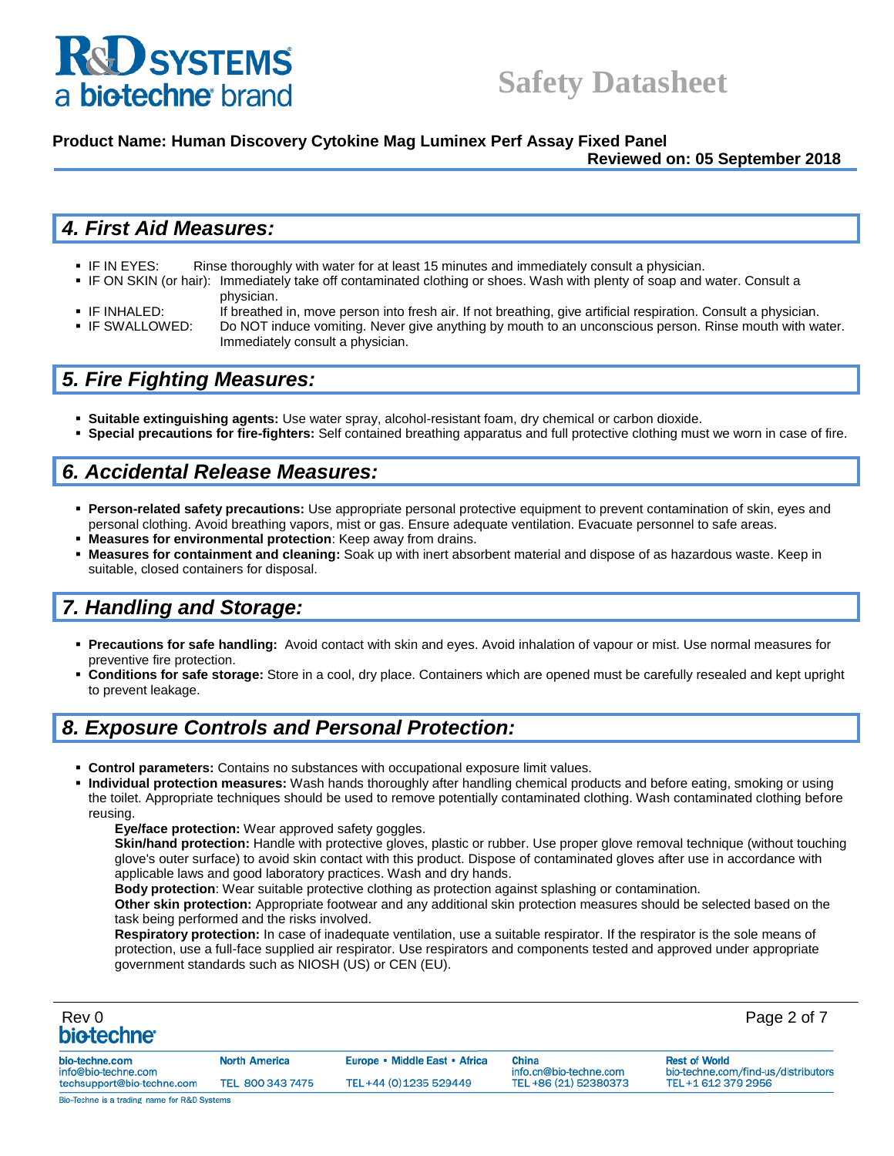

#### **Product Name: Human Discovery Cytokine Mag Luminex Perf Assay Fixed Panel**

#### **Reviewed on: 05 September 2018**

## *4. First Aid Measures:*

- **IF IN EYES:** Rinse thoroughly with water for at least 15 minutes and immediately consult a physician.
- IF ON SKIN (or hair): Immediately take off contaminated clothing or shoes. Wash with plenty of soap and water. Consult a physician.
- IF INHALED: If breathed in, move person into fresh air. If not breathing, give artificial respiration. Consult a physician.
- IF SWALLOWED: Do NOT induce vomiting. Never give anything by mouth to an unconscious person. Rinse mouth with water. Immediately consult a physician.

## *5. Fire Fighting Measures:*

- **Suitable extinguishing agents:** Use water spray, alcohol-resistant foam, dry chemical or carbon dioxide.
- **Special precautions for fire-fighters:** Self contained breathing apparatus and full protective clothing must we worn in case of fire.

## *6. Accidental Release Measures:*

- **Person-related safety precautions:** Use appropriate personal protective equipment to prevent contamination of skin, eyes and personal clothing. Avoid breathing vapors, mist or gas. Ensure adequate ventilation. Evacuate personnel to safe areas.
- **Measures for environmental protection**: Keep away from drains.
- **Measures for containment and cleaning:** Soak up with inert absorbent material and dispose of as hazardous waste. Keep in suitable, closed containers for disposal.

## *7. Handling and Storage:*

- **Precautions for safe handling:** Avoid contact with skin and eyes. Avoid inhalation of vapour or mist. Use normal measures for preventive fire protection.
- **Conditions for safe storage:** Store in a cool, dry place. Containers which are opened must be carefully resealed and kept upright to prevent leakage.

## *8. Exposure Controls and Personal Protection:*

- **EXECT Control parameters:** Contains no substances with occupational exposure limit values.
- Individual protection measures: Wash hands thoroughly after handling chemical products and before eating, smoking or using the toilet. Appropriate techniques should be used to remove potentially contaminated clothing. Wash contaminated clothing before reusing.
	- **Eye/face protection:** Wear approved safety goggles.

**Skin/hand protection:** Handle with protective gloves, plastic or rubber. Use proper glove removal technique (without touching glove's outer surface) to avoid skin contact with this product. Dispose of contaminated gloves after use in accordance with applicable laws and good laboratory practices. Wash and dry hands.

**Body protection**: Wear suitable protective clothing as protection against splashing or contamination.

**Other skin protection:** Appropriate footwear and any additional skin protection measures should be selected based on the task being performed and the risks involved.

**Respiratory protection:** In case of inadequate ventilation, use a suitable respirator. If the respirator is the sole means of protection, use a full-face supplied air respirator. Use respirators and components tested and approved under appropriate government standards such as NIOSH (US) or CEN (EU).

| Rev 0<br>biotechne <sup>®</sup>              |                      |                               |                                 | Page 2 of 7                                                 |
|----------------------------------------------|----------------------|-------------------------------|---------------------------------|-------------------------------------------------------------|
| bio-techne.com<br>info@bio-techne.com        | <b>North America</b> | Europe • Middle East • Africa | China<br>info.cn@bio-techne.com | <b>Rest of World</b><br>bio-techne.com/find-us/distributors |
| techsupport@bio-techne.com                   | TEL 800 343 7475     | TEL+44 (0) 1235 529449        | TEL+86 (21) 52380373            | TEL+1 612 379 2956                                          |
| Bio-Techne is a trading name for R&D Systems |                      |                               |                                 |                                                             |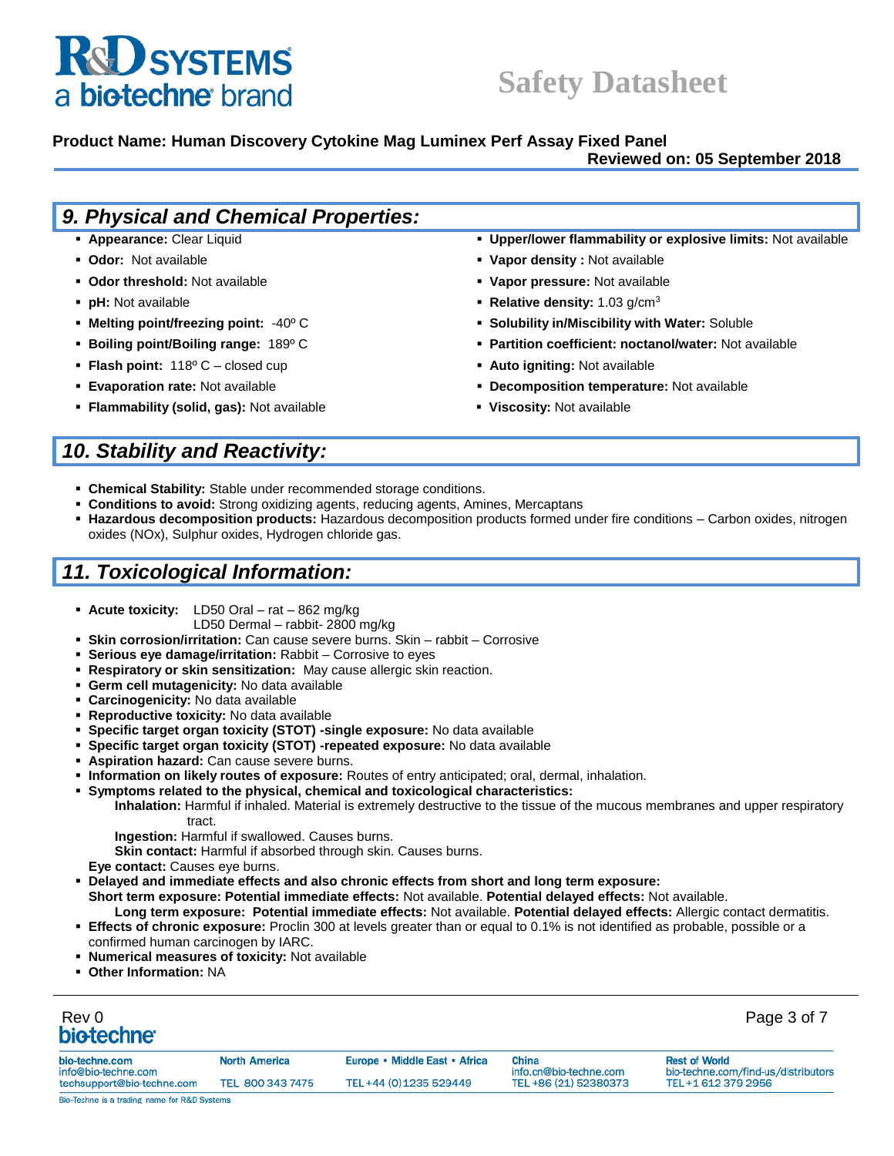# **K&U SYSTEMS** a biotechne brand

# **Safety Datasheet**

#### **Product Name: Human Discovery Cytokine Mag Luminex Perf Assay Fixed Panel**

#### **Reviewed on: 05 September 2018**

| 9. Physical and Chemical Properties:             |                                                               |
|--------------------------------------------------|---------------------------------------------------------------|
| • Appearance: Clear Liquid                       | • Upper/lower flammability or explosive limits: Not available |
| • Odor: Not available                            | • Vapor density: Not available                                |
| • Odor threshold: Not available                  | • Vapor pressure: Not available                               |
| • pH: Not available                              | • Relative density: $1.03$ g/cm <sup>3</sup>                  |
| • Melting point/freezing point: $-40^{\circ}$ C  | • Solubility in/Miscibility with Water: Soluble               |
| • Boiling point/Boiling range: $189^{\circ}$ C   | • Partition coefficient: noctanol/water: Not available        |
| <b>Flash point:</b> $118^{\circ}$ C – closed cup | • Auto igniting: Not available                                |
| <b>Evaporation rate: Not available</b>           | • Decomposition temperature: Not available                    |
| • Flammability (solid, gas): Not available       | • Viscosity: Not available                                    |
|                                                  |                                                               |

# *10. Stability and Reactivity:*

- **Example 2 Chemical Stability:** Stable under recommended storage conditions.
- **EXEDENTIFY Conditions to avoid:** Strong oxidizing agents, reducing agents, Amines, Mercaptans
- **Hazardous decomposition products:** Hazardous decomposition products formed under fire conditions Carbon oxides, nitrogen oxides (NOx), Sulphur oxides, Hydrogen chloride gas.

# *11. Toxicological Information:*

- **Acute toxicity:** LD50 Oral rat 862 mg/kg
	- LD50 Dermal rabbit- 2800 mg/kg
- **Skin corrosion/irritation:** Can cause severe burns. Skin rabbit Corrosive
- **Serious eye damage/irritation:** Rabbit Corrosive to eyes
- **Respiratory or skin sensitization:** May cause allergic skin reaction.
- **Germ cell mutagenicity:** No data available
- **Carcinogenicity:** No data available
- **Reproductive toxicity:** No data available
- **Specific target organ toxicity (STOT) -single exposure:** No data available
- **Specific target organ toxicity (STOT) -repeated exposure:** No data available
- **Aspiration hazard:** Can cause severe burns.
- **Information on likely routes of exposure:** Routes of entry anticipated; oral, dermal, inhalation.
- **Symptoms related to the physical, chemical and toxicological characteristics:**

**Inhalation:** Harmful if inhaled. Material is extremely destructive to the tissue of the mucous membranes and upper respiratory tract.

**Ingestion:** Harmful if swallowed. Causes burns.

**Skin contact:** Harmful if absorbed through skin. Causes burns.

**Eye contact:** Causes eye burns.

▪ **Delayed and immediate effects and also chronic effects from short and long term exposure:**

**Short term exposure: Potential immediate effects:** Not available. **Potential delayed effects:** Not available.

- **Long term exposure: Potential immediate effects:** Not available. **Potential delayed effects:** Allergic contact dermatitis. **Effects of chronic exposure:** Proclin 300 at levels greater than or equal to 0.1% is not identified as probable, possible or a
- confirmed human carcinogen by IARC.
	- **Numerical measures of toxicity: Not available**
	- **Other Information: NA**

# Rev 0 Page 3 of 7

| bio-techne.com<br>info@bio-techne.com         | <b>North America</b> | Europe • Middle East • Africa | China<br>info.cn@bio-techne.com | <b>Rest of World</b><br>bio-techne.com/find-us/distributors |  |
|-----------------------------------------------|----------------------|-------------------------------|---------------------------------|-------------------------------------------------------------|--|
| techsupport@bio-techne.com                    | TEL 800 343 7475     | TEL+44 (0) 1235 529449        | TEL +86 (21) 52380373           | TEL+1 612 379 2956                                          |  |
| Rin-Techne is a trading name for R&D Svstems. |                      |                               |                                 |                                                             |  |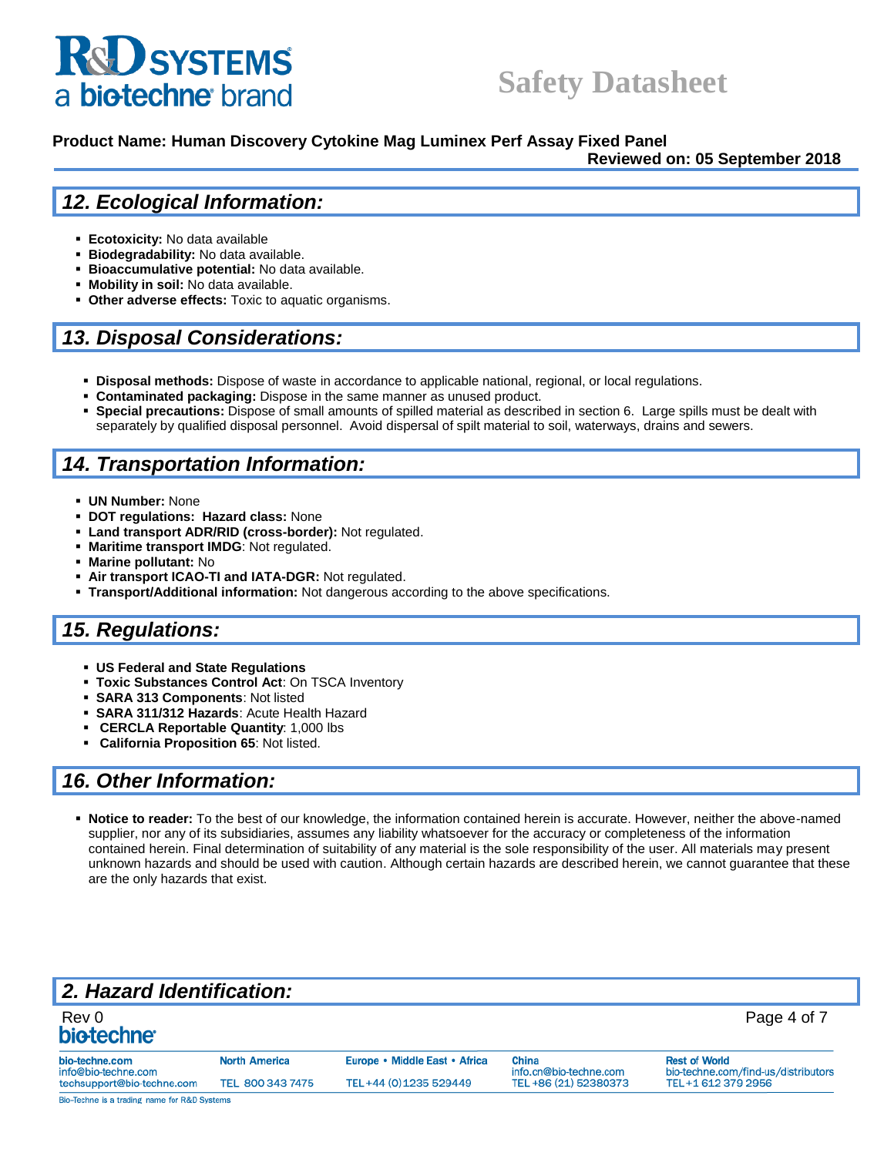# **& SYSTEMS** a biotechne brand

# **Safety Datasheet**

#### **Product Name: Human Discovery Cytokine Mag Luminex Perf Assay Fixed Panel**

**Reviewed on: 05 September 2018**

### *12. Ecological Information:*

- **Ecotoxicity:** No data available
- **Biodegradability:** No data available.
- **Bioaccumulative potential:** No data available.
- **Mobility in soil:** No data available.
- **Other adverse effects:** Toxic to aquatic organisms.

### *13. Disposal Considerations:*

- **EXECT Disposal methods:** Dispose of waste in accordance to applicable national, regional, or local regulations.
- **Contaminated packaging:** Dispose in the same manner as unused product.
- **Special precautions:** Dispose of small amounts of spilled material as described in section 6. Large spills must be dealt with separately by qualified disposal personnel. Avoid dispersal of spilt material to soil, waterways, drains and sewers.

## *14. Transportation Information:*

- **UN Number:** None
- **DOT regulations: Hazard class: None**
- Land transport ADR/RID (cross-border): Not regulated.
- **Maritime transport IMDG**: Not regulated.
- **Marine pollutant: No**
- Air transport ICAO-TI and IATA-DGR: Not regulated.
- **Transport/Additional information:** Not dangerous according to the above specifications.

### *15. Regulations:*

- **US Federal and State Regulations**
- **Toxic Substances Control Act**: On TSCA Inventory
- **SARA 313 Components**: Not listed
- **SARA 311/312 Hazards**: Acute Health Hazard
- **CERCLA Reportable Quantity**: 1,000 lbs
- **California Proposition 65**: Not listed.

### *16. Other Information:*

▪ **Notice to reader:** To the best of our knowledge, the information contained herein is accurate. However, neither the above-named supplier, nor any of its subsidiaries, assumes any liability whatsoever for the accuracy or completeness of the information contained herein. Final determination of suitability of any material is the sole responsibility of the user. All materials may present unknown hazards and should be used with caution. Although certain hazards are described herein, we cannot guarantee that these are the only hazards that exist.

# *2. Hazard Identification:*

| Rev 0<br>biotechne <sup>®</sup>              |                      |                               |                                        | Page 4 of 7                                                 |
|----------------------------------------------|----------------------|-------------------------------|----------------------------------------|-------------------------------------------------------------|
| bio-techne.com<br>info@bio-techne.com        | <b>North America</b> | Europe • Middle East • Africa | <b>China</b><br>info.cn@bio-techne.com | <b>Rest of World</b><br>bio-techne.com/find-us/distributors |
| techsupport@bio-techne.com                   | TEL 800 343 7475     | TEL+44 (0) 1235 529449        | TEL +86 (21) 52380373                  | TEL+1 612 379 2956                                          |
| Bio-Techne is a trading name for R&D Systems |                      |                               |                                        |                                                             |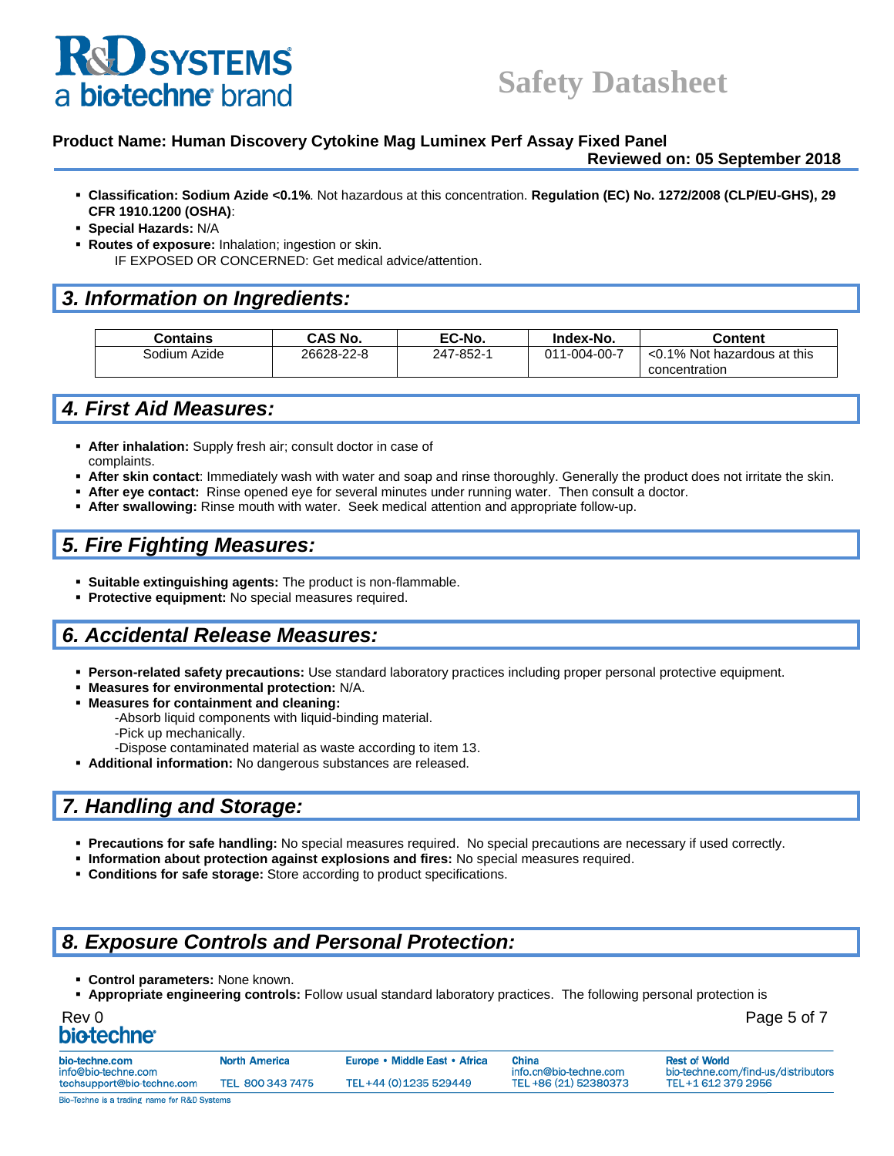# **D** SYSTEMS biotechne brand

#### **Product Name: Human Discovery Cytokine Mag Luminex Perf Assay Fixed Panel**

**Reviewed on: 05 September 2018**

- **Classification: Sodium Azide <0.1%**. Not hazardous at this concentration. **Regulation (EC) No. 1272/2008 (CLP/EU-GHS), 29 CFR 1910.1200 (OSHA)**:
- **Special Hazards:** N/A
- **Routes of exposure:** Inhalation; ingestion or skin. IF EXPOSED OR CONCERNED: Get medical advice/attention.

## *3. Information on Ingredients:*

| Contains     | CAS No.    | EC-No.    | Index-No.    | Content                     |
|--------------|------------|-----------|--------------|-----------------------------|
| Sodium Azide | 26628-22-8 | 247-852-1 | 011-004-00-7 | <0.1% Not hazardous at this |
|              |            |           |              | concentration               |

## *4. First Aid Measures:*

- **EXTER: After inhalation:** Supply fresh air; consult doctor in case of complaints.
- After skin contact: Immediately wash with water and soap and rinse thoroughly. Generally the product does not irritate the skin.
- After eye contact: Rinse opened eye for several minutes under running water. Then consult a doctor.
- **After swallowing:** Rinse mouth with water. Seek medical attention and appropriate follow-up.

## *5. Fire Fighting Measures:*

- **Suitable extinguishing agents:** The product is non-flammable.
- **Protective equipment:** No special measures required.

### *6. Accidental Release Measures:*

- **Person-related safety precautions:** Use standard laboratory practices including proper personal protective equipment.
- **Measures for environmental protection:** N/A.
- **Measures for containment and cleaning:** 
	- -Absorb liquid components with liquid-binding material.
	- -Pick up mechanically.
	- -Dispose contaminated material as waste according to item 13.
- **Additional information:** No dangerous substances are released.

# *7. Handling and Storage:*

- **Precautions for safe handling:** No special measures required. No special precautions are necessary if used correctly.
- **Information about protection against explosions and fires:** No special measures required.
- **Conditions for safe storage:** Store according to product specifications.

# *8. Exposure Controls and Personal Protection:*

- **Control parameters:** None known.
- **Appropriate engineering controls:** Follow usual standard laboratory practices. The following personal protection is

| Rev 0            | Page 5 of 7 |
|------------------|-------------|
| <b>biotechne</b> |             |

| bio-techne.com<br>info@bio-techne.com | <b>North America</b> | Europe • Middle East • Africa | China<br>info.cn@bio-techne.com | <b>Rest of World</b><br>bio-techne.com/find-us/distributor |
|---------------------------------------|----------------------|-------------------------------|---------------------------------|------------------------------------------------------------|
| techsupport@bio-techne.com            | TEL 800 343 7475     | TEL+44 (0) 1235 529449        | TEL+86 (21) 52380373            | TEL+1 612 379 2956                                         |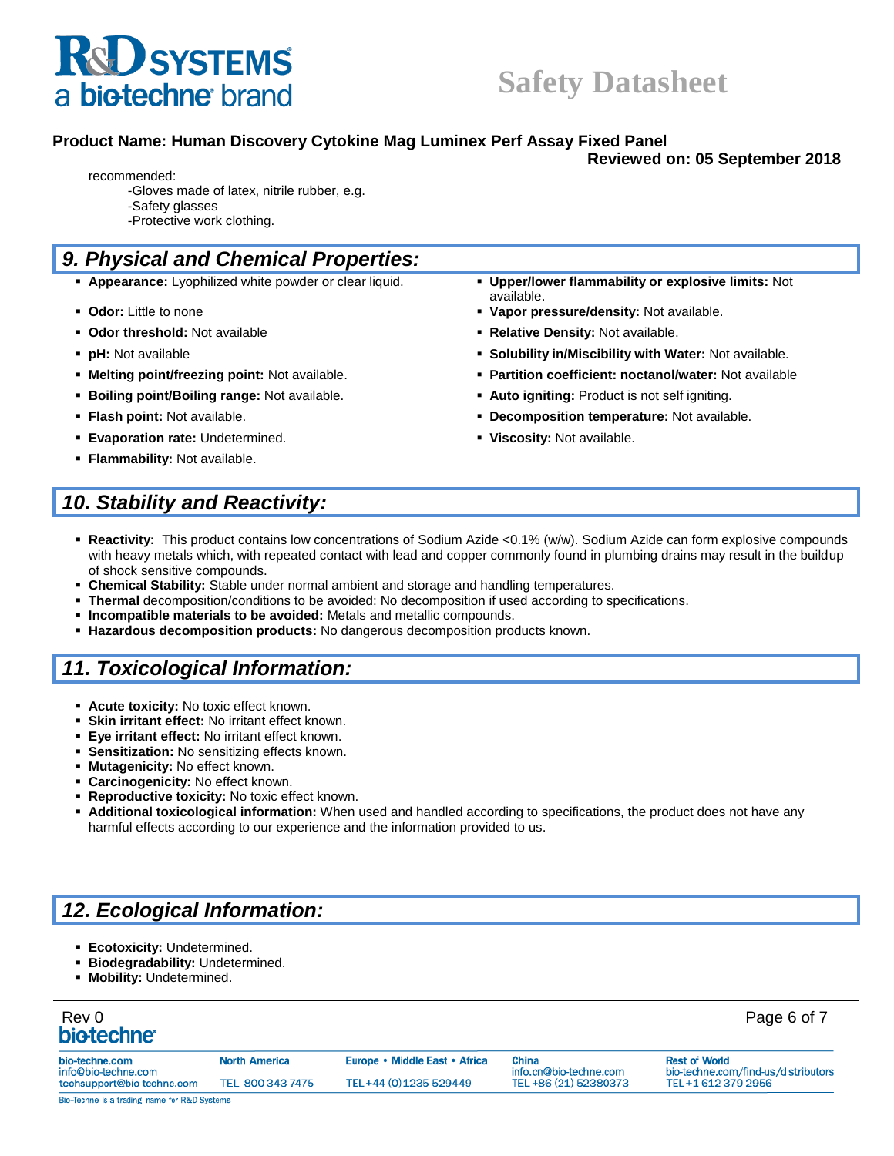

### **Product Name: Human Discovery Cytokine Mag Luminex Perf Assay Fixed Panel**

**Reviewed on: 05 September 2018**

- recommended:
	- -Gloves made of latex, nitrile rubber, e.g. -Safety glasses
	- -Protective work clothing.

# *9. Physical and Chemical Properties:*

- **Appearance:** Lyophilized white powder or clear liquid. **Upper/lower flammability or explosive limits:** Not
- **Odor:** Little to none **Vapor pressure/density:** Not available.
- **Odor threshold:** Not available **Relative Density:** Not available.
- **pH:** Not available **Solubility in/Miscibility with Water:** Not available.
- **Melting point/freezing point:** Not available. **Partition coefficient: noctanol/water:** Not available
- **Example 1 Boiling point/Boiling range:** Not available.  **Auto igniting:** Product is not self igniting.
- **Flash point:** Not available. **Decomposition temperature:** Not available.
- 
- **Flammability:** Not available.
- **Evaporation rate:** Undetermined. **The Constantineum of the Viscosity:** Not available.

# *10. Stability and Reactivity:*

▪ **Reactivity:** This product contains low concentrations of Sodium Azide <0.1% (w/w). Sodium Azide can form explosive compounds with heavy metals which, with repeated contact with lead and copper commonly found in plumbing drains may result in the buildup of shock sensitive compounds.

available.

- **Chemical Stability:** Stable under normal ambient and storage and handling temperatures.
- **Thermal** decomposition/conditions to be avoided: No decomposition if used according to specifications.
- **Incompatible materials to be avoided:** Metals and metallic compounds.
- **Hazardous decomposition products:** No dangerous decomposition products known.

# *11. Toxicological Information:*

- **E** Acute toxicity: No toxic effect known.
- **Skin irritant effect: No irritant effect known.**
- **Eye irritant effect: No irritant effect known.**
- **EXECT:** Sensitization: No sensitizing effects known.
- **Mutagenicity:** No effect known.
- **Carcinogenicity:** No effect known.
- **EXECT:** Reproductive toxicity: No toxic effect known.
- **Additional toxicological information:** When used and handled according to specifications, the product does not have any harmful effects according to our experience and the information provided to us.

# *12. Ecological Information:*

- **Ecotoxicity:** Undetermined.
- **Biodegradability:** Undetermined.
- **Mobility:** Undetermined.

| Rev 0<br>biotechne <sup>®</sup>              |                      |                               |                                 | Page 6 of 7                                                 |
|----------------------------------------------|----------------------|-------------------------------|---------------------------------|-------------------------------------------------------------|
| bio-techne.com<br>info@bio-techne.com        | <b>North America</b> | Europe • Middle East • Africa | China<br>info.cn@bio-techne.com | <b>Rest of World</b><br>bio-techne.com/find-us/distributors |
| techsupport@bio-techne.com                   | TEL 800 343 7475     | TEL+44 (0) 1235 529449        | TEL+86 (21) 52380373            | TEL+1 612 379 2956                                          |
| Bio-Techne is a trading name for R&D Systems |                      |                               |                                 |                                                             |